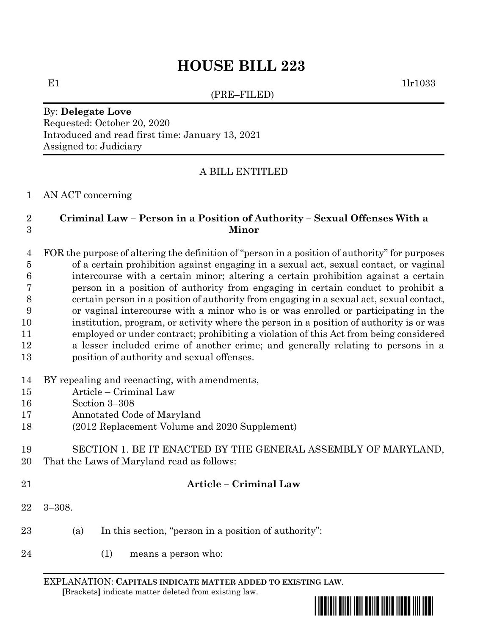# **HOUSE BILL 223**

(PRE–FILED)

E1  $1\text{lr}1033$ 

## By: **Delegate Love** Requested: October 20, 2020 Introduced and read first time: January 13, 2021 Assigned to: Judiciary

## A BILL ENTITLED

### AN ACT concerning

## **Criminal Law – Person in a Position of Authority – Sexual Offenses With a Minor**

 FOR the purpose of altering the definition of "person in a position of authority" for purposes of a certain prohibition against engaging in a sexual act, sexual contact, or vaginal intercourse with a certain minor; altering a certain prohibition against a certain person in a position of authority from engaging in certain conduct to prohibit a certain person in a position of authority from engaging in a sexual act, sexual contact, or vaginal intercourse with a minor who is or was enrolled or participating in the institution, program, or activity where the person in a position of authority is or was employed or under contract; prohibiting a violation of this Act from being considered a lesser included crime of another crime; and generally relating to persons in a position of authority and sexual offenses.

- BY repealing and reenacting, with amendments,
- Article Criminal Law
- Section 3–308
- Annotated Code of Maryland
- (2012 Replacement Volume and 2020 Supplement)
- SECTION 1. BE IT ENACTED BY THE GENERAL ASSEMBLY OF MARYLAND, That the Laws of Maryland read as follows:
- 

## **Article – Criminal Law**

- 3–308.
- (a) In this section, "person in a position of authority":
- (1) means a person who:

EXPLANATION: **CAPITALS INDICATE MATTER ADDED TO EXISTING LAW**.  **[**Brackets**]** indicate matter deleted from existing law.

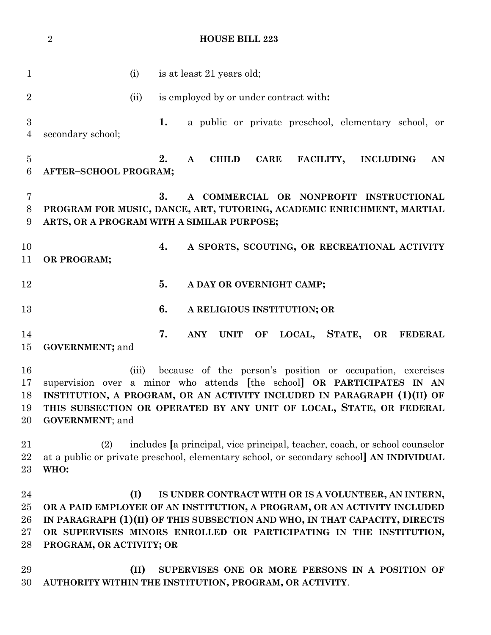1 (i) is at least 21 years old; (ii) is employed by or under contract with**: 1.** a public or private preschool, elementary school, or secondary school; **2. A CHILD CARE FACILITY, INCLUDING AN AFTER–SCHOOL PROGRAM; 3. A COMMERCIAL OR NONPROFIT INSTRUCTIONAL PROGRAM FOR MUSIC, DANCE, ART, TUTORING, ACADEMIC ENRICHMENT, MARTIAL ARTS, OR A PROGRAM WITH A SIMILAR PURPOSE; 4. A SPORTS, SCOUTING, OR RECREATIONAL ACTIVITY OR PROGRAM; 5. A DAY OR OVERNIGHT CAMP; 6. A RELIGIOUS INSTITUTION; OR 7. ANY UNIT OF LOCAL, STATE, OR FEDERAL GOVERNMENT;** and (iii) because of the person's position or occupation, exercises supervision over a minor who attends **[**the school**] OR PARTICIPATES IN AN INSTITUTION, A PROGRAM, OR AN ACTIVITY INCLUDED IN PARAGRAPH (1)(II) OF THIS SUBSECTION OR OPERATED BY ANY UNIT OF LOCAL, STATE, OR FEDERAL GOVERNMENT**; and (2) includes **[**a principal, vice principal, teacher, coach, or school counselor at a public or private preschool, elementary school, or secondary school**] AN INDIVIDUAL WHO: (I) IS UNDER CONTRACT WITH OR IS A VOLUNTEER, AN INTERN, OR A PAID EMPLOYEE OF AN INSTITUTION, A PROGRAM, OR AN ACTIVITY INCLUDED IN PARAGRAPH (1)(II) OF THIS SUBSECTION AND WHO, IN THAT CAPACITY, DIRECTS OR SUPERVISES MINORS ENROLLED OR PARTICIPATING IN THE INSTITUTION, PROGRAM, OR ACTIVITY; OR (II) SUPERVISES ONE OR MORE PERSONS IN A POSITION OF AUTHORITY WITHIN THE INSTITUTION, PROGRAM, OR ACTIVITY**.

**HOUSE BILL 223**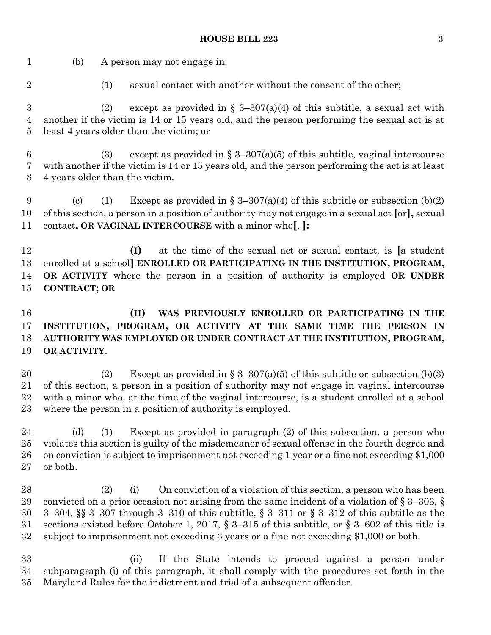#### **HOUSE BILL 223** 3

 (b) A person may not engage in: 2 (1) sexual contact with another without the consent of the other; 3 (2) except as provided in  $\S 3-307(a)(4)$  of this subtitle, a sexual act with another if the victim is 14 or 15 years old, and the person performing the sexual act is at least 4 years older than the victim; or 6 (3) except as provided in  $\S 3-307(a)(5)$  of this subtitle, vaginal intercourse with another if the victim is 14 or 15 years old, and the person performing the act is at least 4 years older than the victim. 9 (c) (1) Except as provided in  $\S 3-307(a)(4)$  of this subtitle or subsection (b)(2) of this section, a person in a position of authority may not engage in a sexual act **[**or**],** sexual contact**, OR VAGINAL INTERCOURSE** with a minor who**[**, **]: (I)** at the time of the sexual act or sexual contact, is **[**a student enrolled at a school**] ENROLLED OR PARTICIPATING IN THE INSTITUTION, PROGRAM, OR ACTIVITY** where the person in a position of authority is employed **OR UNDER CONTRACT; OR (II) WAS PREVIOUSLY ENROLLED OR PARTICIPATING IN THE INSTITUTION, PROGRAM, OR ACTIVITY AT THE SAME TIME THE PERSON IN AUTHORITY WAS EMPLOYED OR UNDER CONTRACT AT THE INSTITUTION, PROGRAM, OR ACTIVITY**. 20 (2) Except as provided in § 3-307(a)(5) of this subtitle or subsection (b)(3) of this section, a person in a position of authority may not engage in vaginal intercourse with a minor who, at the time of the vaginal intercourse, is a student enrolled at a school where the person in a position of authority is employed. (d) (1) Except as provided in paragraph (2) of this subsection, a person who violates this section is guilty of the misdemeanor of sexual offense in the fourth degree and on conviction is subject to imprisonment not exceeding 1 year or a fine not exceeding \$1,000 or both. (2) (i) On conviction of a violation of this section, a person who has been 29 convicted on a prior occasion not arising from the same incident of a violation of  $\S 3-303$ ,  $\S$  3–304, §§ 3–307 through 3–310 of this subtitle, § 3–311 or § 3–312 of this subtitle as the sections existed before October 1, 2017, § 3–315 of this subtitle, or § 3–602 of this title is subject to imprisonment not exceeding 3 years or a fine not exceeding \$1,000 or both. (ii) If the State intends to proceed against a person under subparagraph (i) of this paragraph, it shall comply with the procedures set forth in the Maryland Rules for the indictment and trial of a subsequent offender.